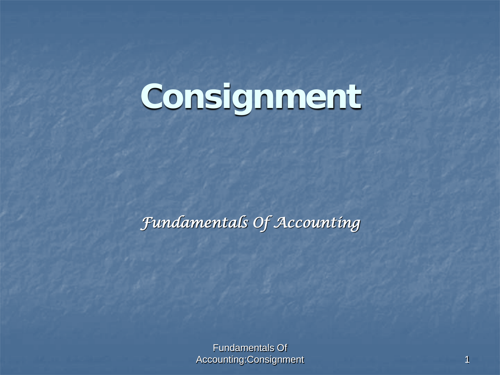# **Consignment**

*Fundamentals Of Accounting* 

Fundamentals Of Accounting:Consignment 1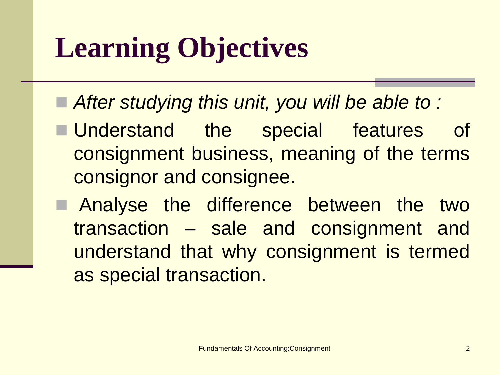# **Learning Objectives**

- After studying this unit, you will be able to :
- **Understand the special features of** consignment business, meaning of the terms consignor and consignee.
- **E** Analyse the difference between the two transaction – sale and consignment and understand that why consignment is termed as special transaction.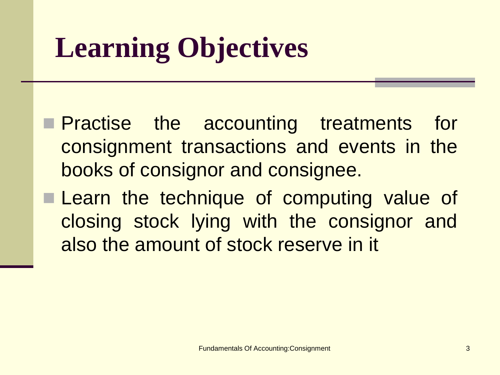# **Learning Objectives**

- **Practise the accounting treatments for** consignment transactions and events in the books of consignor and consignee.
- **Learn the technique of computing value of** closing stock lying with the consignor and also the amount of stock reserve in it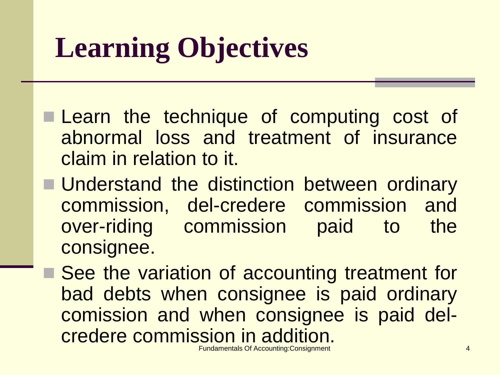# **Learning Objectives**

- **Learn the technique of computing cost of** abnormal loss and treatment of insurance claim in relation to it.
- **Understand the distinction between ordinary** commission, del-credere commission and over-riding commission paid to the consignee.
- Fundamentals Of Accounting:Consignment 4 ■ See the variation of accounting treatment for bad debts when consignee is paid ordinary comission and when consignee is paid delcredere commission in addition.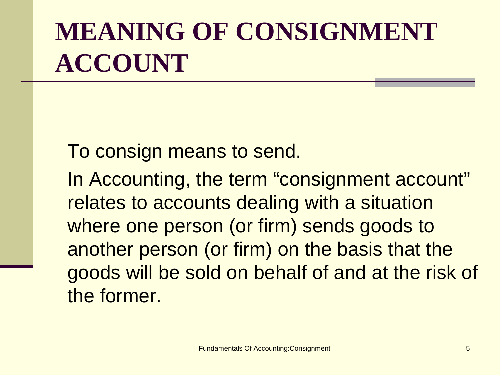#### **MEANING OF CONSIGNMENT ACCOUNT**

To consign means to send.

In Accounting, the term "consignment account" relates to accounts dealing with a situation where one person (or firm) sends goods to another person (or firm) on the basis that the goods will be sold on behalf of and at the risk of the former.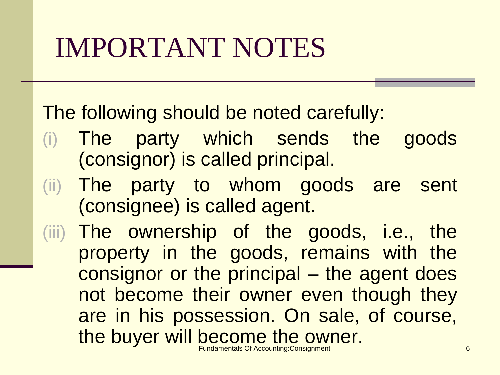The following should be noted carefully:

- (i) The party which sends the goods (consignor) is called principal.
- (ii) The party to whom goods are sent (consignee) is called agent.
- Fundamentals Of Accounting:Consignment 6 (iii) The ownership of the goods, i.e., the property in the goods, remains with the consignor or the principal – the agent does not become their owner even though they are in his possession. On sale, of course, the buyer will become the owner.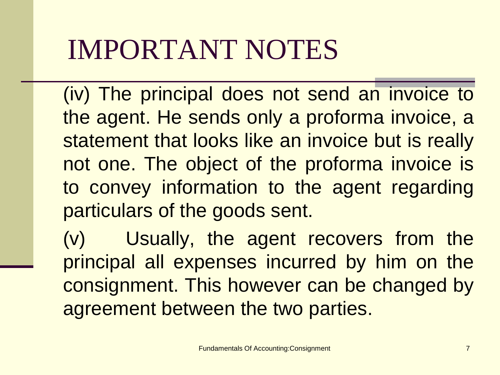(iv) The principal does not send an invoice to the agent. He sends only a proforma invoice, a statement that looks like an invoice but is really not one. The object of the proforma invoice is to convey information to the agent regarding particulars of the goods sent.

(v) Usually, the agent recovers from the principal all expenses incurred by him on the consignment. This however can be changed by agreement between the two parties.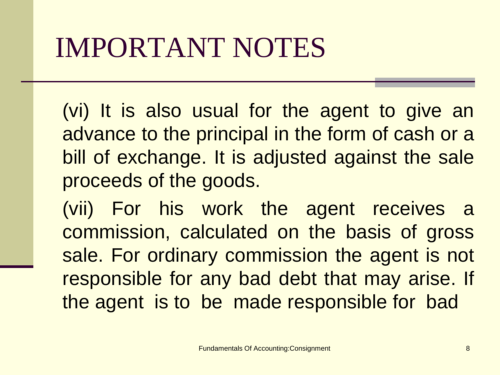(vi) It is also usual for the agent to give an advance to the principal in the form of cash or a bill of exchange. It is adjusted against the sale proceeds of the goods.

(vii) For his work the agent receives a commission, calculated on the basis of gross sale. For ordinary commission the agent is not responsible for any bad debt that may arise. If the agent is to be made responsible for bad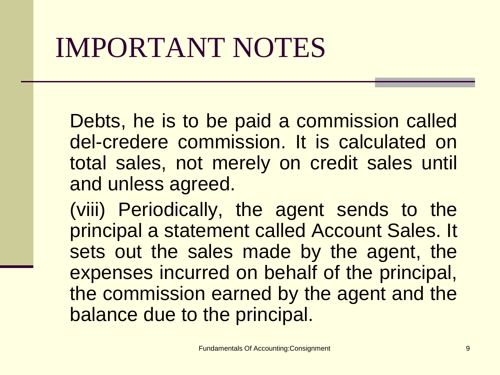Debts, he is to be paid a commission called del-credere commission. It is calculated on total sales, not merely on credit sales until and unless agreed.

(viii) Periodically, the agent sends to the principal a statement called Account Sales. It sets out the sales made by the agent, the expenses incurred on behalf of the principal, the commission earned by the agent and the balance due to the principal.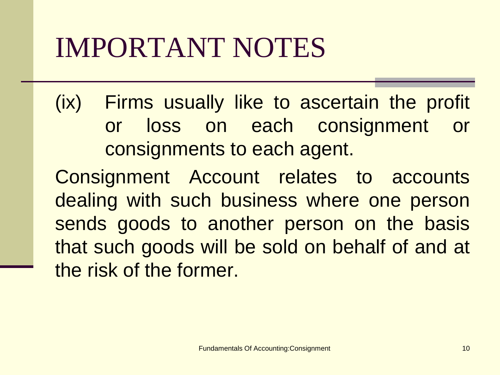(ix) Firms usually like to ascertain the profit or loss on each consignment or consignments to each agent.

Consignment Account relates to accounts dealing with such business where one person sends goods to another person on the basis that such goods will be sold on behalf of and at the risk of the former.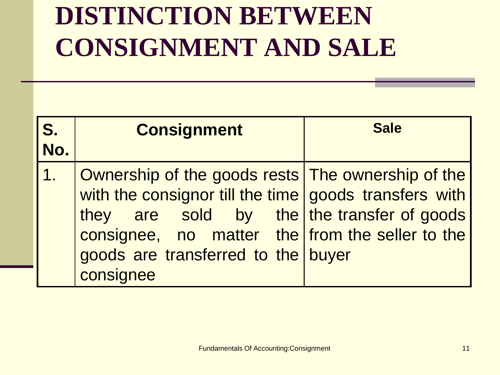#### **DISTINCTION BETWEEN CONSIGNMENT AND SALE**

| S.<br>No.                 | <b>Consignment</b>                                                                                                                                                                                                                                             | <b>Sale</b> |
|---------------------------|----------------------------------------------------------------------------------------------------------------------------------------------------------------------------------------------------------------------------------------------------------------|-------------|
| $\overline{\mathbf{1}}$ . | Ownership of the goods rests The ownership of the<br>with the consignor till the time goods transfers with<br>they are sold by the the transfer of goods<br>consignee, no matter the from the seller to the<br>goods are transferred to the buyer<br>consignee |             |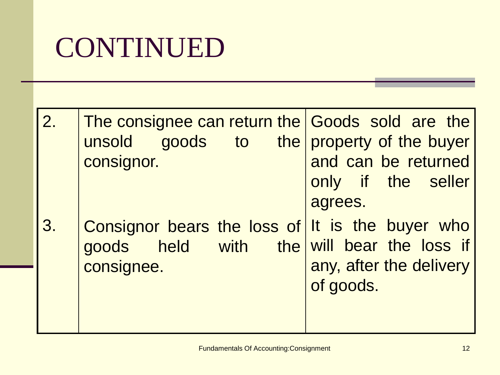#### CONTINUED

| 2. | The consignee can return the Goods sold are the<br>unsold goods to the property of the buyer<br>consignor. | and can be returned<br>only if the seller<br>agrees. |
|----|------------------------------------------------------------------------------------------------------------|------------------------------------------------------|
| 3. | Consignor bears the loss of It is the buyer who<br>goods held with the will bear the loss if<br>consignee. | any, after the delivery<br>of goods.                 |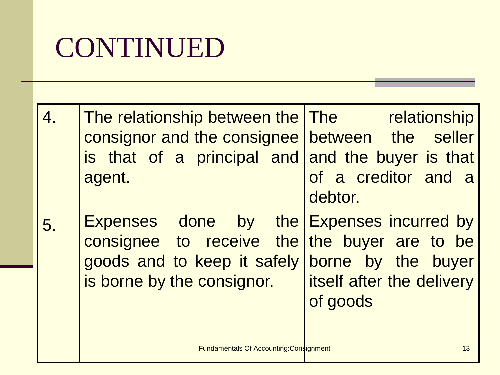#### CONTINUED

| 4. | The relationship between the The The relationship<br>consignor and the consignee between the seller<br>is that of a principal and and the buyer is that<br>agent. | of a creditor and a<br>debtor.                              |
|----|-------------------------------------------------------------------------------------------------------------------------------------------------------------------|-------------------------------------------------------------|
| 5. | Expenses done by the Expenses incurred by<br>consignee to receive the the buyer are to be<br>goods and to keep it safely<br>is borne by the consignor.            | borne by the buyer<br>itself after the delivery<br>of goods |
|    | <b>Fundamentals Of Accounting: Consignment</b>                                                                                                                    | 13                                                          |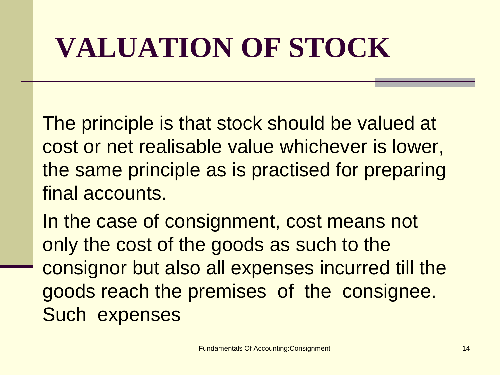# **VALUATION OF STOCK**

The principle is that stock should be valued at cost or net realisable value whichever is lower, the same principle as is practised for preparing final accounts.

In the case of consignment, cost means not only the cost of the goods as such to the consignor but also all expenses incurred till the goods reach the premises of the consignee. Such expenses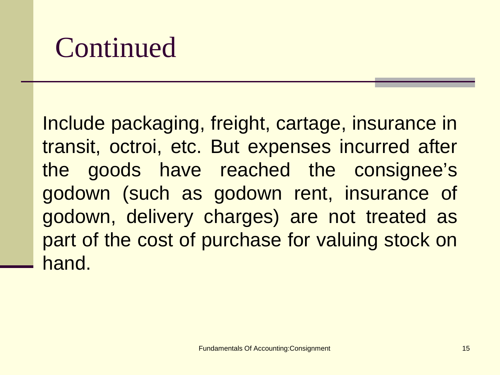Include packaging, freight, cartage, insurance in transit, octroi, etc. But expenses incurred after the goods have reached the consignee's godown (such as godown rent, insurance of godown, delivery charges) are not treated as part of the cost of purchase for valuing stock on hand.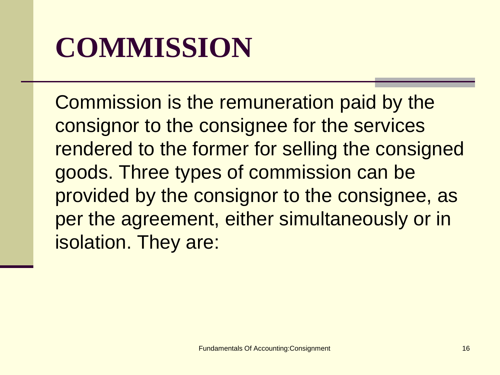### **COMMISSION**

Commission is the remuneration paid by the consignor to the consignee for the services rendered to the former for selling the consigned goods. Three types of commission can be provided by the consignor to the consignee, as per the agreement, either simultaneously or in isolation. They are: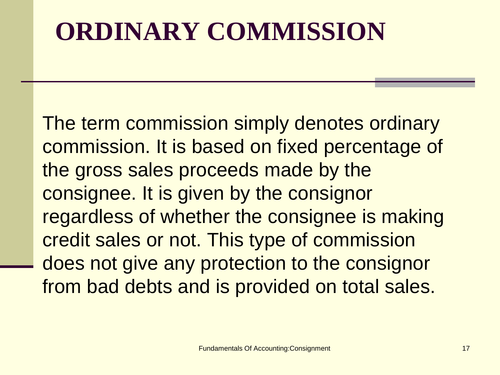#### **ORDINARY COMMISSION**

The term commission simply denotes ordinary commission. It is based on fixed percentage of the gross sales proceeds made by the consignee. It is given by the consignor regardless of whether the consignee is making credit sales or not. This type of commission does not give any protection to the consignor from bad debts and is provided on total sales.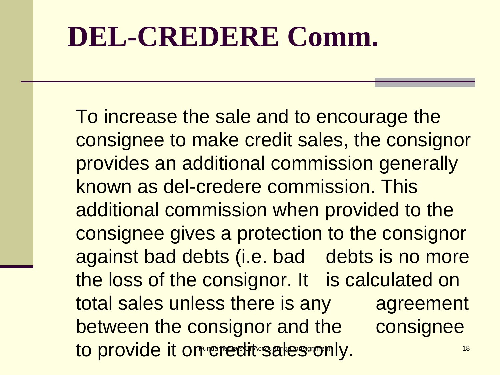#### **DEL-CREDERE Comm.**

Ī

to provide it on credit sales only. The constant  $\frac{18}{18}$ To increase the sale and to encourage the consignee to make credit sales, the consignor provides an additional commission generally known as del-credere commission. This additional commission when provided to the consignee gives a protection to the consignor against bad debts (i.e. bad debts is no more the loss of the consignor. It is calculated on total sales unless there is any agreement between the consignor and the consignee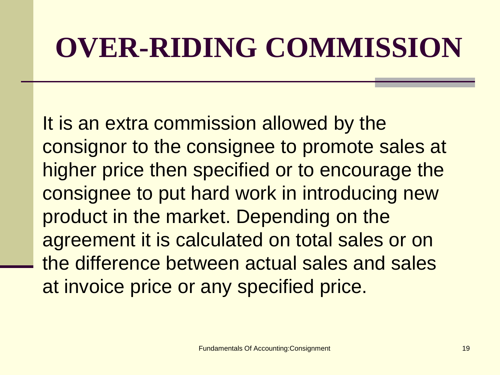### **OVER-RIDING COMMISSION**

It is an extra commission allowed by the consignor to the consignee to promote sales at higher price then specified or to encourage the consignee to put hard work in introducing new product in the market. Depending on the agreement it is calculated on total sales or on the difference between actual sales and sales at invoice price or any specified price.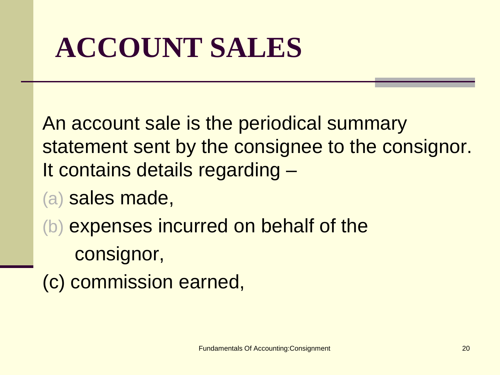# **ACCOUNT SALES**

An account sale is the periodical summary statement sent by the consignee to the consignor. It contains details regarding –

- (a) sales made,
- (b) expenses incurred on behalf of the consignor,
- (c) commission earned,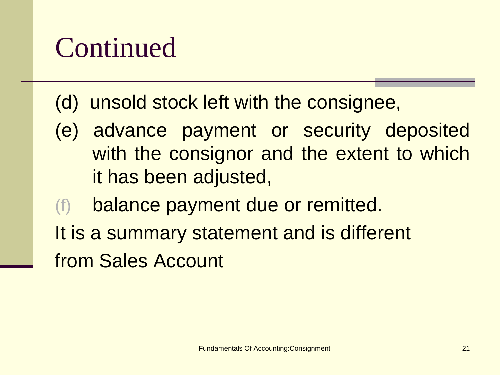(d) unsold stock left with the consignee,

- (e) advance payment or security deposited with the consignor and the extent to which it has been adjusted,
- balance payment due or remitted.
- It is a summary statement and is different from Sales Account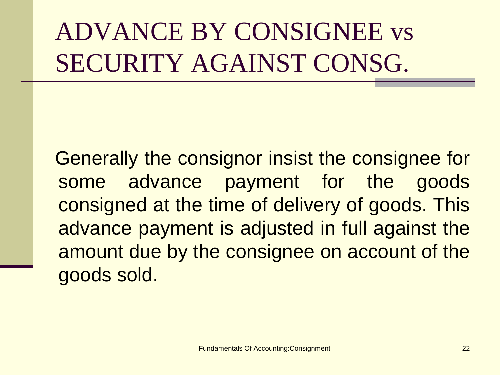#### ADVANCE BY CONSIGNEE vs SECURITY AGAINST CONSG.

Generally the consignor insist the consignee for some advance payment for the goods consigned at the time of delivery of goods. This advance payment is adjusted in full against the amount due by the consignee on account of the goods sold.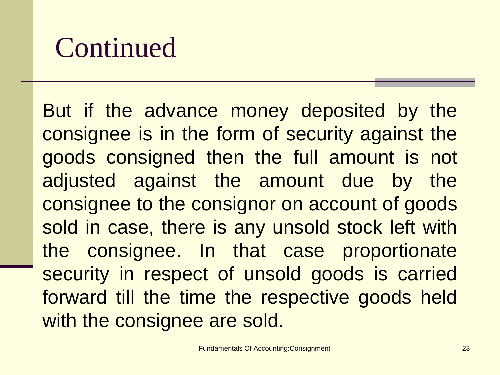But if the advance money deposited by the consignee is in the form of security against the goods consigned then the full amount is not adjusted against the amount due by the consignee to the consignor on account of goods sold in case, there is any unsold stock left with the consignee. In that case proportionate security in respect of unsold goods is carried forward till the time the respective goods held with the consignee are sold.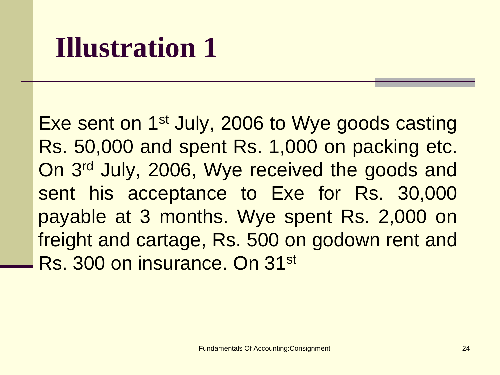#### **Illustration 1**

Exe sent on 1st July, 2006 to Wye goods casting Rs. 50,000 and spent Rs. 1,000 on packing etc. On 3rd July, 2006, Wye received the goods and sent his acceptance to Exe for Rs. 30,000 payable at 3 months. Wye spent Rs. 2,000 on freight and cartage, Rs. 500 on godown rent and Rs. 300 on insurance. On 31st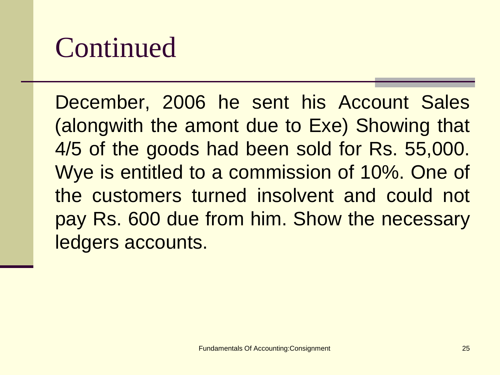December, 2006 he sent his Account Sales (alongwith the amont due to Exe) Showing that 4/5 of the goods had been sold for Rs. 55,000. Wye is entitled to a commission of 10%. One of the customers turned insolvent and could not pay Rs. 600 due from him. Show the necessary ledgers accounts.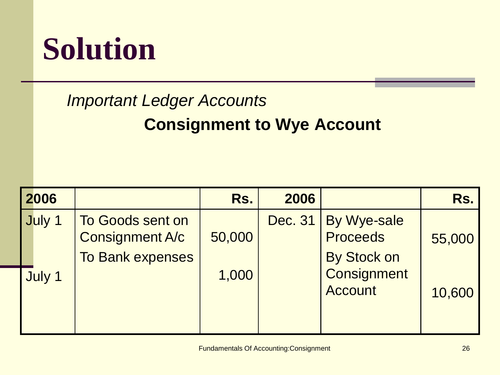### **Solution**

#### *Important Ledger Accounts*

#### **Consignment to Wye Account**

| 2006   |                                                                       | Rs.    | 2006    |                                                      | Rs.    |
|--------|-----------------------------------------------------------------------|--------|---------|------------------------------------------------------|--------|
| July 1 | To Goods sent on<br><b>Consignment A/c</b><br><b>To Bank expenses</b> | 50,000 | Dec. 31 | By Wye-sale<br><b>Proceeds</b><br><b>By Stock on</b> | 55,000 |
| July 1 |                                                                       | 1,000  |         | <b>Consignment</b><br><b>Account</b>                 | 10,600 |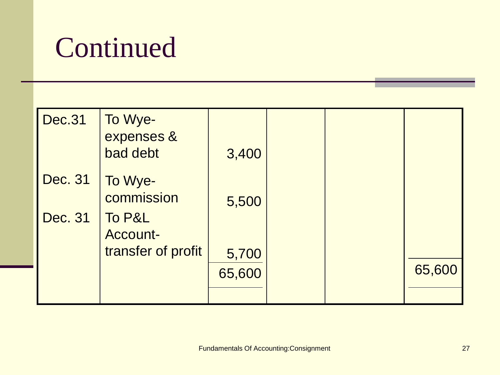| <b>Dec.31</b>  | To Wye-<br>expenses &<br>bad debt | 3,400  |  |        |
|----------------|-----------------------------------|--------|--|--------|
| Dec. 31        | To Wye-<br>commission             | 5,500  |  |        |
| <b>Dec. 31</b> | To P&L<br><b>Account-</b>         |        |  |        |
|                | transfer of profit                | 5,700  |  |        |
|                |                                   | 65,600 |  | 65,600 |
|                |                                   |        |  |        |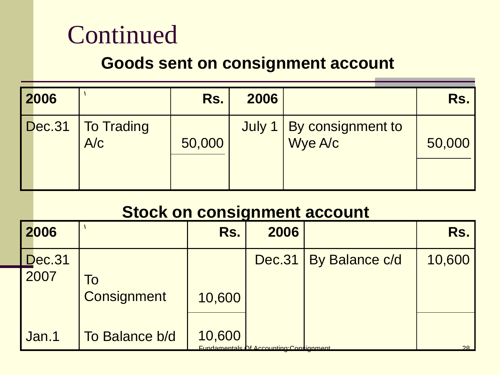#### **Goods sent on consignment account**

| 2006 |                                   | Rs.    | 2006 |                          | Rs.    |
|------|-----------------------------------|--------|------|--------------------------|--------|
|      | Dec.31   To Trading<br><b>A/c</b> | 50,000 |      | July 1 By consignment to | 50,000 |
|      |                                   |        |      |                          |        |

#### **Stock on consignment account**

| 2006                  |                    | Rs.    | 2006                                           |                       | Rs.    |
|-----------------------|--------------------|--------|------------------------------------------------|-----------------------|--------|
| <b>Dec.31</b><br>2007 | ĪΟ                 |        | Dec.31                                         | <b>By Balance c/d</b> | 10,600 |
|                       | <b>Consignment</b> | 10,600 |                                                |                       |        |
| Jan.1                 | To Balance b/d     | 10,600 | <b>Fundamentals Of Accounting Constignment</b> |                       | 28     |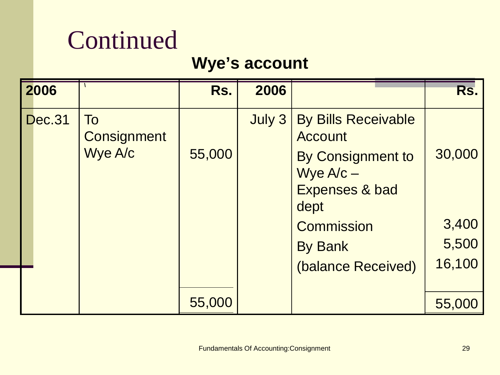#### **Wye's account**

| 2006          |                                            | Rs.    | 2006   |                                                                                                                                                                      | Rs.                                |
|---------------|--------------------------------------------|--------|--------|----------------------------------------------------------------------------------------------------------------------------------------------------------------------|------------------------------------|
| <b>Dec.31</b> | <b>To</b><br><b>Consignment</b><br>Wye A/c | 55,000 | July 3 | <b>By Bills Receivable</b><br>Account<br>By Consignment to<br>Wye $A/c -$<br><b>Expenses &amp; bad</b><br>dept<br>Commission<br><b>By Bank</b><br>(balance Received) | 30,000<br>3,400<br>5,500<br>16,100 |
|               |                                            | 55,000 |        |                                                                                                                                                                      | 55,000                             |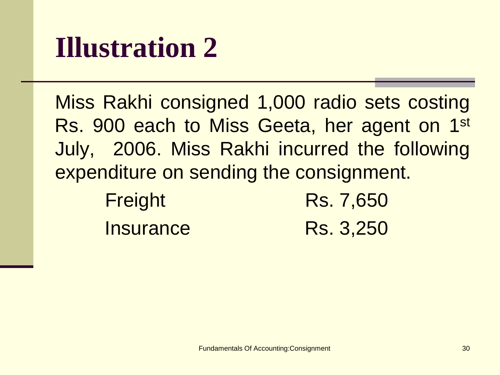#### **Illustration 2**

Miss Rakhi consigned 1,000 radio sets costing Rs. 900 each to Miss Geeta, her agent on 1st July, 2006. Miss Rakhi incurred the following expenditure on sending the consignment.

| Freight          | Rs. 7,650 |
|------------------|-----------|
| <b>Insurance</b> | Rs. 3,250 |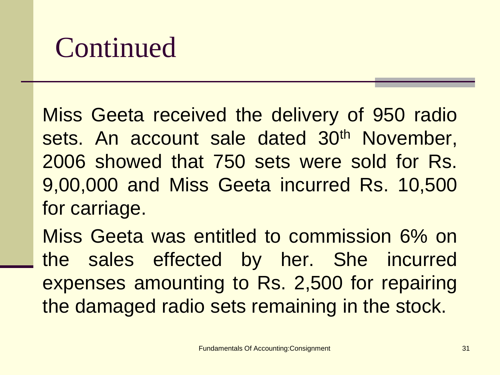Miss Geeta received the delivery of 950 radio sets. An account sale dated 30<sup>th</sup> November, 2006 showed that 750 sets were sold for Rs. 9,00,000 and Miss Geeta incurred Rs. 10,500 for carriage.

Miss Geeta was entitled to commission 6% on the sales effected by her. She incurred expenses amounting to Rs. 2,500 for repairing the damaged radio sets remaining in the stock.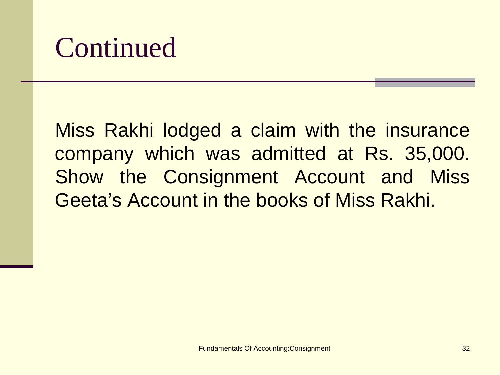Miss Rakhi lodged a claim with the insurance company which was admitted at Rs. 35,000. Show the Consignment Account and Miss Geeta's Account in the books of Miss Rakhi.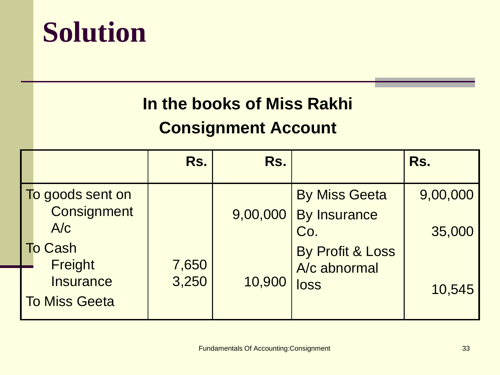

#### **In the books of Miss Rakhi**

#### **Consignment Account**

|                                                     | Rs.            | Rs.      |                             | Rs.      |
|-----------------------------------------------------|----------------|----------|-----------------------------|----------|
| To goods sent on                                    |                |          | <b>By Miss Geeta</b>        | 9,00,000 |
| <b>Consignment</b><br>A/c                           |                | 9,00,000 | <b>By Insurance</b><br>Co.  | 35,000   |
| <b>To Cash</b>                                      |                |          | <b>By Profit &amp; Loss</b> |          |
| Freight<br><b>Insurance</b><br><b>To Miss Geeta</b> | 7,650<br>3,250 | 10,900   | A/c abnormal<br>loss        | 10,545   |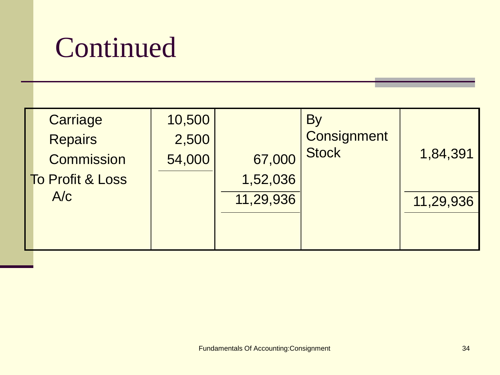| Carriage          | 10,500 |           | $B_1$              |           |
|-------------------|--------|-----------|--------------------|-----------|
| <b>Repairs</b>    | 2,500  |           | <b>Consignment</b> |           |
| <b>Commission</b> | 54,000 | 67,000    | <b>Stock</b>       | 1,84,391  |
| To Profit & Loss  |        | 1,52,036  |                    |           |
| A/c               |        | 11,29,936 |                    | 11,29,936 |
|                   |        |           |                    |           |
|                   |        |           |                    |           |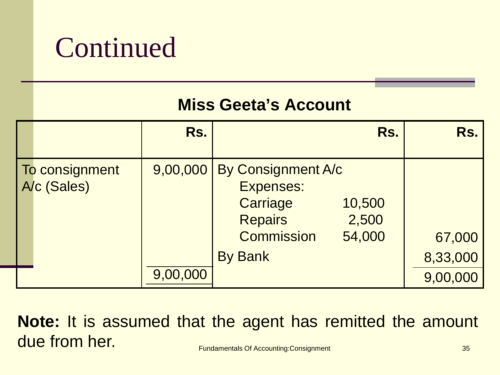#### **Miss Geeta's Account**

|                               | Rs.      | Rs.                                                                                                                                        | Rs.                |
|-------------------------------|----------|--------------------------------------------------------------------------------------------------------------------------------------------|--------------------|
| To consignment<br>A/c (Sales) |          | 9,00,000 By Consignment A/c<br>Expenses:<br>Carriage<br>10,500<br><b>Repairs</b><br>2,500<br><b>Commission</b><br>54,000<br><b>By Bank</b> | 67,000<br>8,33,000 |
|                               | 9,00,000 |                                                                                                                                            | 9,00,000           |

**Fundamentals Of Accounting:Consignment** 35 **Note:** It is assumed that the agent has remitted the amount due from her.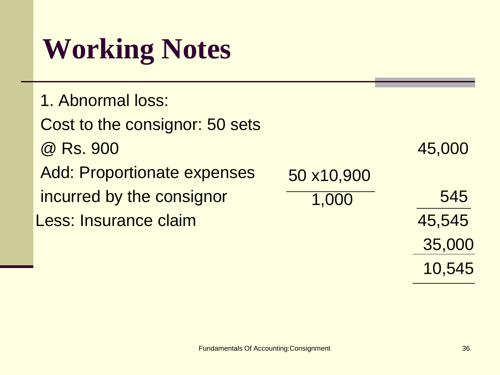### **Working Notes**

| 1. Abnormal loss:              |            |        |
|--------------------------------|------------|--------|
| Cost to the consignor: 50 sets |            |        |
| @ Rs. 900                      |            | 45,000 |
| Add: Proportionate expenses    | 50 x10,900 |        |
| incurred by the consignor      | 1,000      | 545    |
| Less: Insurance claim          |            | 45,545 |
|                                |            | 35,000 |

10,545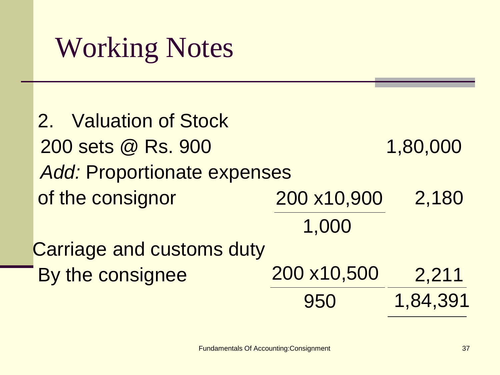#### Working Notes

 2. Valuation of Stock 200 sets @ Rs. 900 1,80,000 *Add:* Proportionate expenses of the consignor  $200 \times 10,900$   $2,180$  Carriage and customs duty By the consignee  $200 \times 10,500$   $2,211$ 1,84,391 200 x10,900 1,000 200 x10,500 950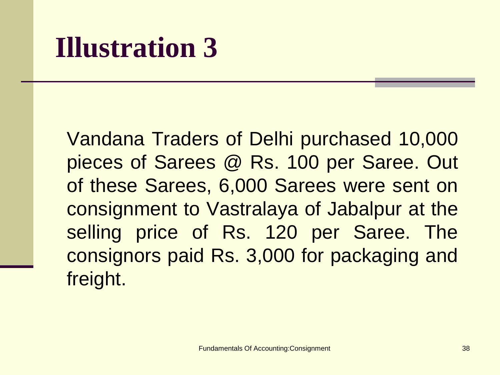#### **Illustration 3**

Vandana Traders of Delhi purchased 10,000 pieces of Sarees @ Rs. 100 per Saree. Out of these Sarees, 6,000 Sarees were sent on consignment to Vastralaya of Jabalpur at the selling price of Rs. 120 per Saree. The consignors paid Rs. 3,000 for packaging and freight.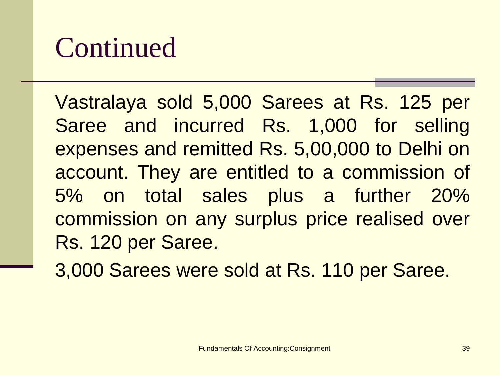Vastralaya sold 5,000 Sarees at Rs. 125 per Saree and incurred Rs. 1,000 for selling expenses and remitted Rs. 5,00,000 to Delhi on account. They are entitled to a commission of 5% on total sales plus a further 20% commission on any surplus price realised over Rs. 120 per Saree.

3,000 Sarees were sold at Rs. 110 per Saree.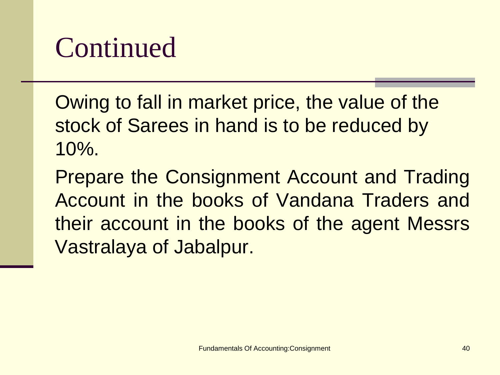Owing to fall in market price, the value of the stock of Sarees in hand is to be reduced by 10%.

Prepare the Consignment Account and Trading Account in the books of Vandana Traders and their account in the books of the agent Messrs Vastralaya of Jabalpur.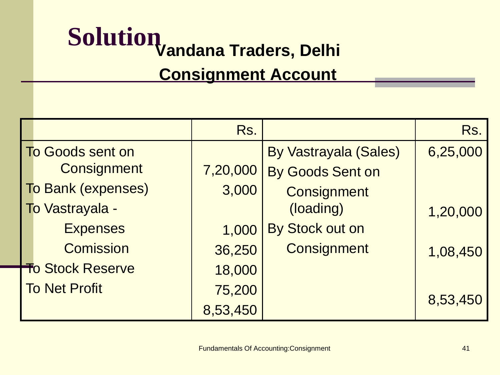# **Solution Vandana Traders, Delhi**

#### **Consignment Account**

|                         |                           | Rs.      |                              | Rs.      |
|-------------------------|---------------------------|----------|------------------------------|----------|
|                         | <b>To Goods sent on</b>   |          | <b>By Vastrayala (Sales)</b> | 6,25,000 |
|                         | <b>Consignment</b>        | 7,20,000 | By Goods Sent on             |          |
|                         | <b>To Bank (expenses)</b> | 3,000    | <b>Consignment</b>           |          |
|                         | To Vastrayala -           |          | (loading)                    | 1,20,000 |
|                         | <b>Expenses</b>           | 1,000    | By Stock out on              |          |
|                         | <b>Comission</b>          | 36,250   | <b>Consignment</b>           | 1,08,450 |
| <b>To Stock Reserve</b> |                           | 18,000   |                              |          |
| <b>To Net Profit</b>    |                           | 75,200   |                              |          |
|                         |                           | 8,53,450 |                              | 8,53,450 |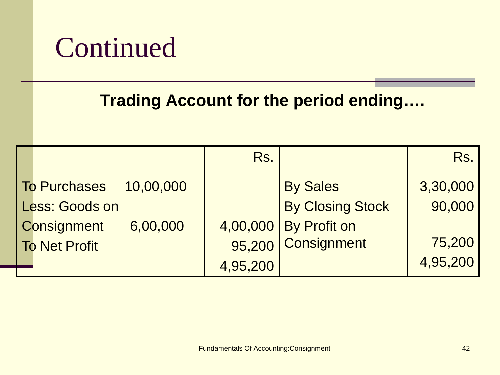#### **Trading Account for the period ending….**

|                                | Rs.      |                         | Rs.      |
|--------------------------------|----------|-------------------------|----------|
| To Purchases 10,00,000         |          | <b>By Sales</b>         | 3,30,000 |
| Less: Goods on                 |          | <b>By Closing Stock</b> | 90,000   |
| <b>Consignment</b><br>6,00,000 |          | 4,00,000 By Profit on   |          |
| <b>To Net Profit</b>           |          | 95,200 Consignment      | 75,200   |
|                                | 4,95,200 |                         | 4,95,200 |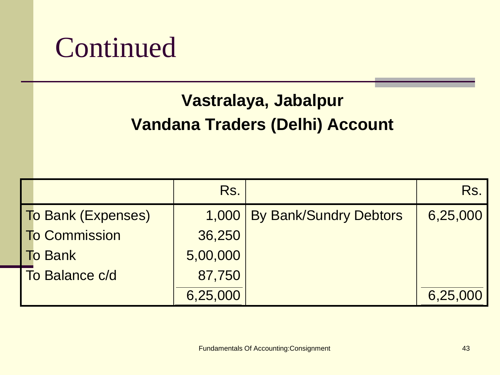#### **Vastralaya, Jabalpur Vandana Traders (Delhi) Account**

|                           | Rs.      |                              | Rs.      |
|---------------------------|----------|------------------------------|----------|
| <b>To Bank (Expenses)</b> |          | 1,000 By Bank/Sundry Debtors | 6,25,000 |
| To Commission             | 36,250   |                              |          |
| <b>To Bank</b>            | 5,00,000 |                              |          |
| To Balance c/d            | 87,750   |                              |          |
|                           | 6,25,000 |                              | 6,25,000 |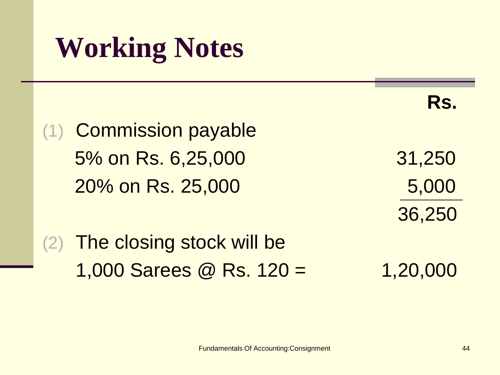### **Working Notes**

(1) Commission payable 5% on Rs. 6,25,000 31,250 20% on Rs. 25,000 5,000

 **Rs.**

36,250

#### (2) The closing stock will be 1,000 Sarees  $\textcircled{2}$  Rs. 120 = 1,20,000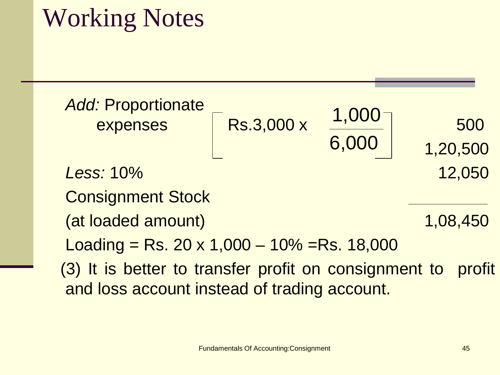#### Working Notes

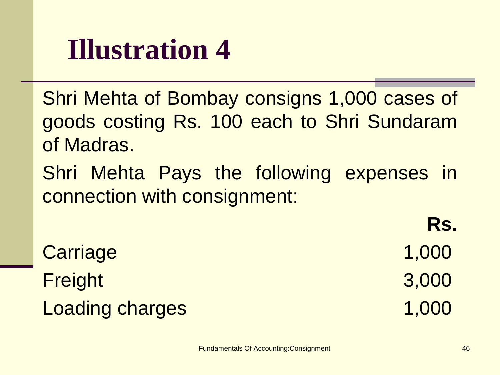#### **Illustration 4**

Shri Mehta of Bombay consigns 1,000 cases of goods costing Rs. 100 each to Shri Sundaram of Madras.

Shri Mehta Pays the following expenses in connection with consignment:

Carriage 1,000 Freight 3,000 Loading charges 1,000

**Rs.**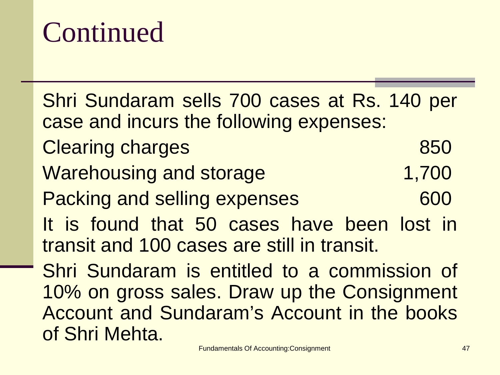Shri Sundaram sells 700 cases at Rs. 140 per case and incurs the following expenses: Clearing charges 850 Warehousing and storage 1,700 Packing and selling expenses 600 It is found that 50 cases have been lost in transit and 100 cases are still in transit. Shri Sundaram is entitled to a commission of 10% on gross sales. Draw up the Consignment Account and Sundaram's Account in the books of Shri Mehta.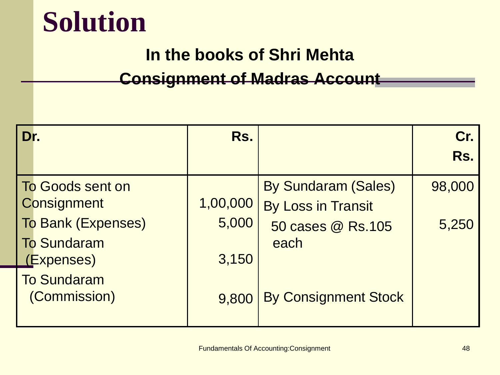#### **Solution**

#### **In the books of Shri Mehta**

#### **Consignment of Madras Account**

| Dr.                       | Rs.      |                             | Cr.<br>Rs. |
|---------------------------|----------|-----------------------------|------------|
|                           |          |                             |            |
| <b>To Goods sent on</b>   |          | <b>By Sundaram (Sales)</b>  | 98,000     |
| <b>Consignment</b>        | 1,00,000 | By Loss in Transit          |            |
| <b>To Bank (Expenses)</b> | 5,000    | 50 cases @ Rs.105           | 5,250      |
| <b>To Sundaram</b>        |          | each                        |            |
| (Expenses)                | 3,150    |                             |            |
| <b>To Sundaram</b>        |          |                             |            |
| (Commission)              | 9,800    | <b>By Consignment Stock</b> |            |
|                           |          |                             |            |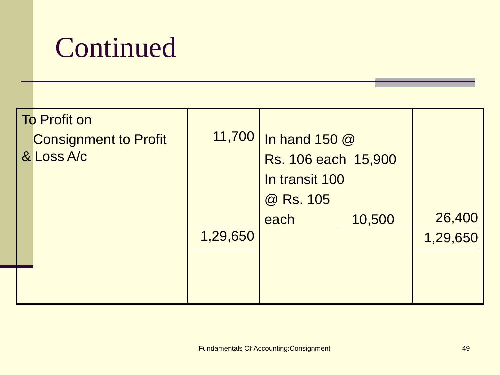| <b>To Profit on</b><br><b>Consignment to Profit</b><br>& Loss A/c | 11,700   | In hand 150 @<br>Rs. 106 each 15,900<br>In transit 100<br>@ Rs. 105 |        |                    |
|-------------------------------------------------------------------|----------|---------------------------------------------------------------------|--------|--------------------|
|                                                                   | 1,29,650 | each                                                                | 10,500 | 26,400<br>1,29,650 |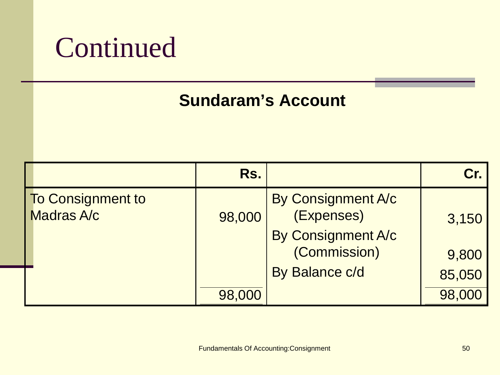#### **Sundaram's Account**

|                                        | Rs.    |                                                                                          | $\mathbf{Cr}$            |
|----------------------------------------|--------|------------------------------------------------------------------------------------------|--------------------------|
| <b>To Consignment to</b><br>Madras A/c | 98,000 | By Consignment A/c<br>(Expenses)<br>By Consignment A/c<br>(Commission)<br>By Balance c/d | 3,150<br>9,800<br>85,050 |
|                                        | 98,000 |                                                                                          | 98,000                   |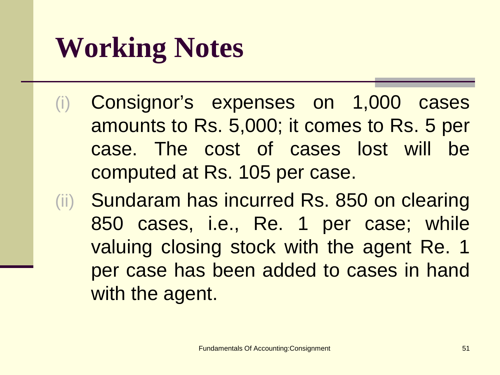### **Working Notes**

- (i) Consignor's expenses on 1,000 cases amounts to Rs. 5,000; it comes to Rs. 5 per case. The cost of cases lost will be computed at Rs. 105 per case.
- (ii) Sundaram has incurred Rs. 850 on clearing 850 cases, i.e., Re. 1 per case; while valuing closing stock with the agent Re. 1 per case has been added to cases in hand with the agent.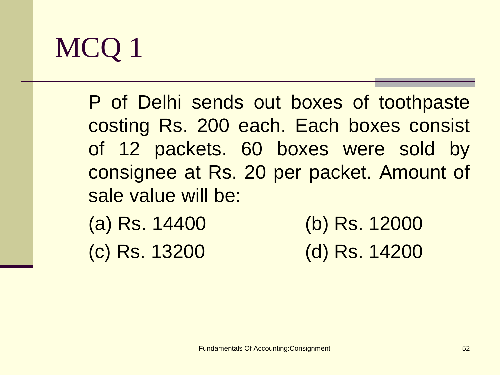P of Delhi sends out boxes of toothpaste costing Rs. 200 each. Each boxes consist of 12 packets. 60 boxes were sold by consignee at Rs. 20 per packet. Amount of sale value will be:

(a) Rs. 14400 (b) Rs. 12000 (c) Rs. 13200 (d) Rs. 14200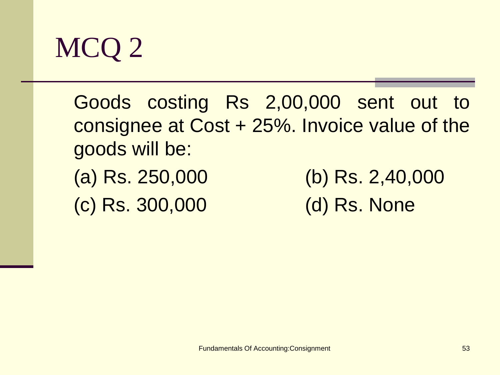

Goods costing Rs 2,00,000 sent out to consignee at Cost + 25%. Invoice value of the goods will be: (a) Rs. 250,000 (b) Rs. 2,40,000 (c) Rs. 300,000 (d) Rs. None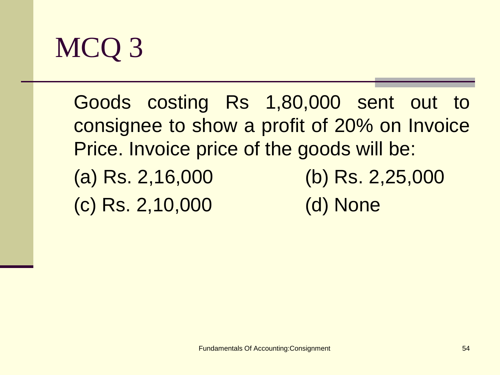

Goods costing Rs 1,80,000 sent out to consignee to show a profit of 20% on Invoice Price. Invoice price of the goods will be: (a) Rs. 2,16,000 (b) Rs. 2,25,000 (c) Rs. 2,10,000 (d) None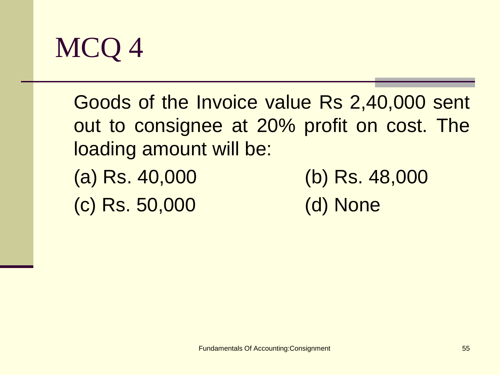

Goods of the Invoice value Rs 2,40,000 sent out to consignee at 20% profit on cost. The loading amount will be:

- (c) Rs. 50,000 (d) None
- (a) Rs. 40,000 (b) Rs. 48,000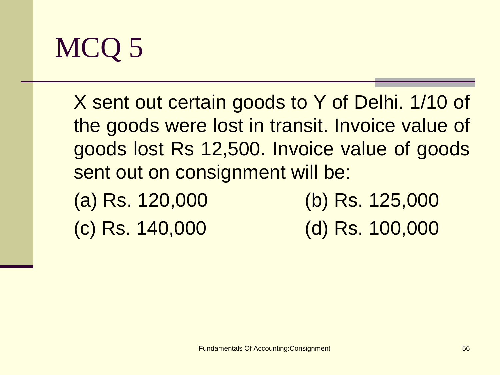

 X sent out certain goods to Y of Delhi. 1/10 of the goods were lost in transit. Invoice value of goods lost Rs 12,500. Invoice value of goods sent out on consignment will be:

(a) Rs. 120,000 (b) Rs. 125,000 (c) Rs. 140,000 (d) Rs. 100,000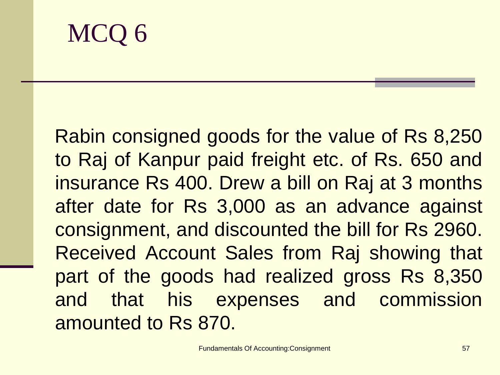Rabin consigned goods for the value of Rs 8,250 to Raj of Kanpur paid freight etc. of Rs. 650 and insurance Rs 400. Drew a bill on Raj at 3 months after date for Rs 3,000 as an advance against consignment, and discounted the bill for Rs 2960. Received Account Sales from Raj showing that part of the goods had realized gross Rs 8,350 and that his expenses and commission amounted to Rs 870.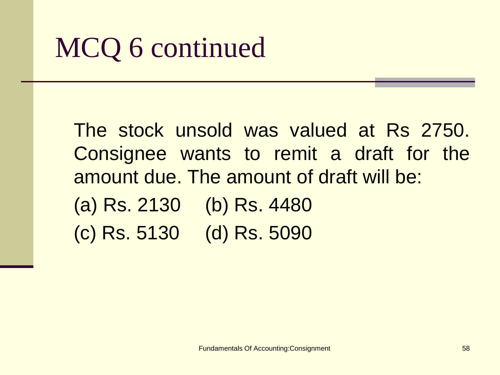#### MCQ 6 continued

The stock unsold was valued at Rs 2750. Consignee wants to remit a draft for the amount due. The amount of draft will be: (a) Rs. 2130 (b) Rs. 4480 (c) Rs. 5130 (d) Rs. 5090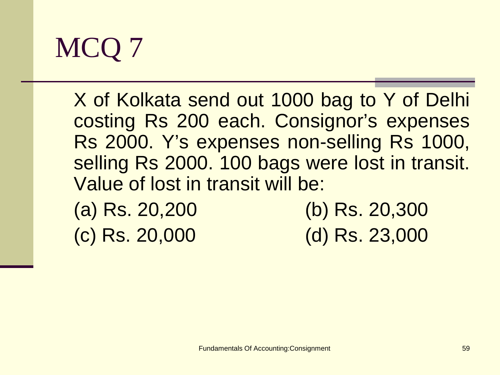X of Kolkata send out 1000 bag to Y of Delhi costing Rs 200 each. Consignor's expenses Rs 2000. Y's expenses non-selling Rs 1000, selling Rs 2000. 100 bags were lost in transit. Value of lost in transit will be: (a) Rs. 20,200 (b) Rs. 20,300

(c) Rs. 20,000 (d) Rs. 23,000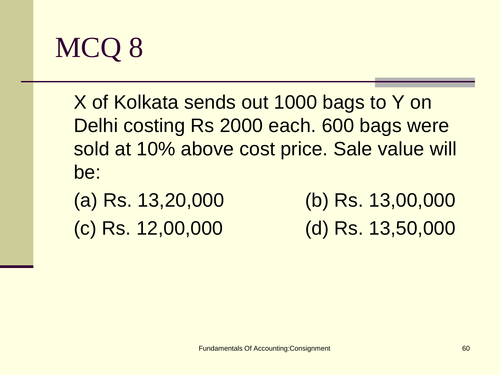

X of Kolkata sends out 1000 bags to Y on Delhi costing Rs 2000 each. 600 bags were sold at 10% above cost price. Sale value will be:

(a) Rs. 13,20,000 (b) Rs. 13,00,000 (c) Rs. 12,00,000 (d) Rs. 13,50,000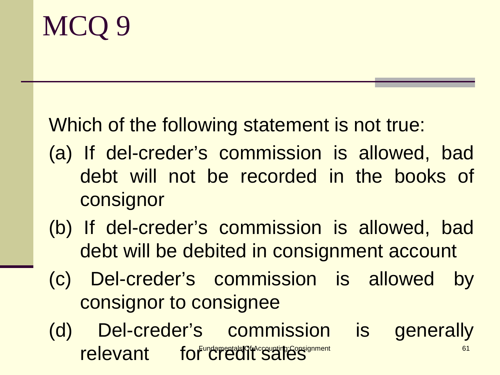I

#### Which of the following statement is not true:

- (a) If del-creder's commission is allowed, bad debt will not be recorded in the books of consignor
- (b) If del-creder's commission is allowed, bad debt will be debited in consignment account
- (c) Del-creder's commission is allowed by consignor to consignee
- relevant for Credit sales of the Constant of the Constant of the Constant of the Constant of the Constant of the Constant of the Constant of the Constant of the Constant of the Constant of the Constant of the Constant of t (d) Del-creder's commission is generally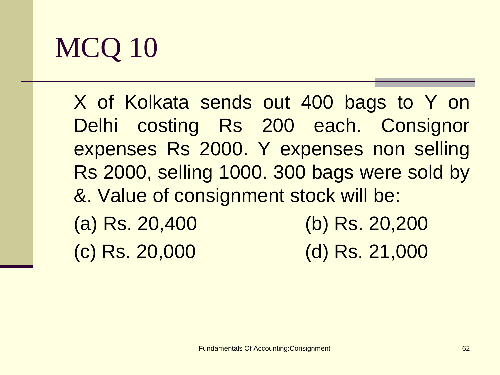X of Kolkata sends out 400 bags to Y on Delhi costing Rs 200 each. Consignor expenses Rs 2000. Y expenses non selling Rs 2000, selling 1000. 300 bags were sold by &. Value of consignment stock will be: (a) Rs. 20,400 (b) Rs. 20,200

(c) Rs. 20,000 (d) Rs. 21,000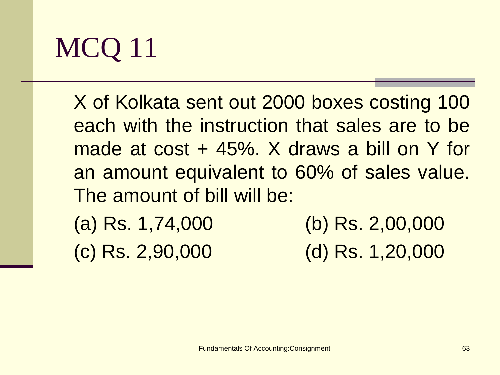X of Kolkata sent out 2000 boxes costing 100 each with the instruction that sales are to be made at cost + 45%. X draws a bill on Y for an amount equivalent to 60% of sales value. The amount of bill will be: (a) Rs. 1,74,000 (b) Rs. 2,00,000

(c) Rs. 2,90,000 (d) Rs. 1,20,000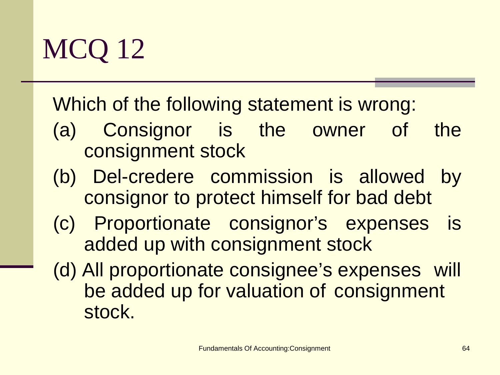#### Which of the following statement is wrong:

- (a) Consignor is the owner of the consignment stock
- (b) Del-credere commission is allowed by consignor to protect himself for bad debt
- (c) Proportionate consignor's expenses is added up with consignment stock
- (d) All proportionate consignee's expenses will be added up for valuation of consignment stock.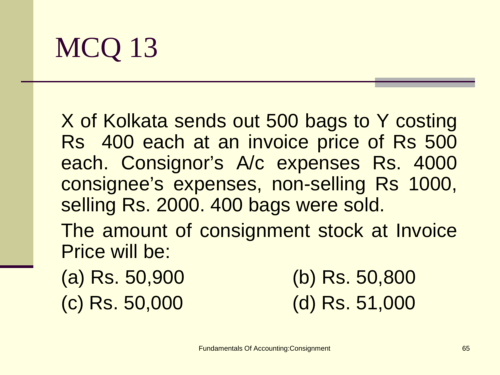X of Kolkata sends out 500 bags to Y costing Rs 400 each at an invoice price of Rs 500 each. Consignor's A/c expenses Rs. 4000 consignee's expenses, non-selling Rs 1000, selling Rs. 2000. 400 bags were sold.

The amount of consignment stock at Invoice Price will be:

(a) Rs. 50,900 (b) Rs. 50,800 (c) Rs. 50,000 (d) Rs. 51,000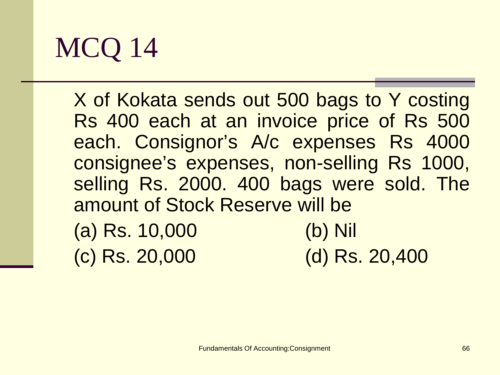X of Kokata sends out 500 bags to Y costing Rs 400 each at an invoice price of Rs 500 each. Consignor's A/c expenses Rs 4000 consignee's expenses, non-selling Rs 1000, selling Rs. 2000. 400 bags were sold. The amount of Stock Reserve will be

| (a) Rs. 10,000 | $(b)$ Nil      |
|----------------|----------------|
| (c) Rs. 20,000 | (d) Rs. 20,400 |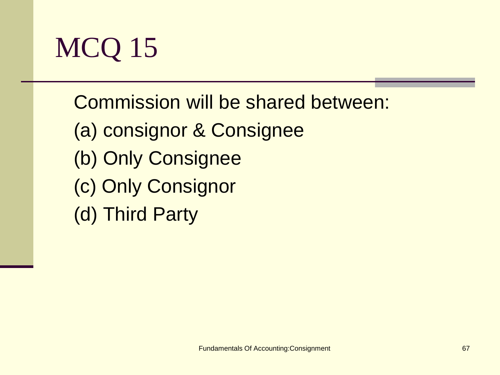

Commission will be shared between: (a) consignor & Consignee (b) Only Consignee (c) Only Consignor (d) Third Party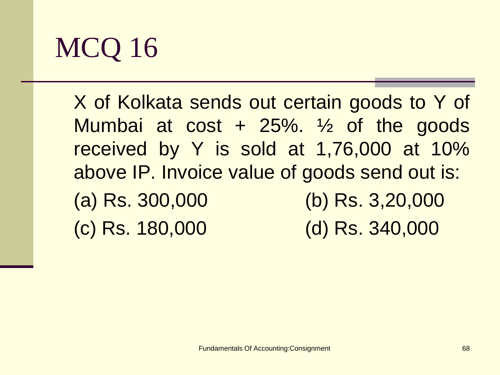X of Kolkata sends out certain goods to Y of Mumbai at  $cost + 25\%$ .  $\frac{1}{2}$  of the goods received by Y is sold at 1,76,000 at 10% above IP. Invoice value of goods send out is: (a) Rs. 300,000 (b) Rs. 3,20,000 (c) Rs. 180,000 (d) Rs. 340,000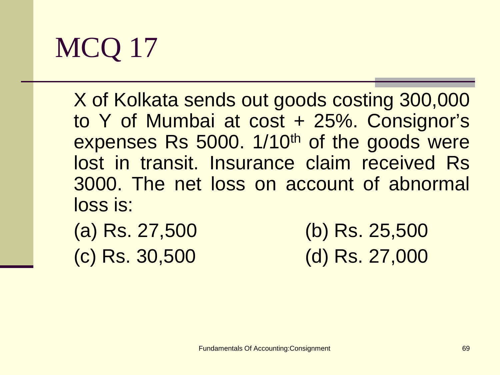X of Kolkata sends out goods costing 300,000 to Y of Mumbai at cost + 25%. Consignor's expenses Rs 5000. 1/10<sup>th</sup> of the goods were lost in transit. Insurance claim received Rs 3000. The net loss on account of abnormal loss is:

| (a) Rs. 27,500 | (b) Rs. 25,500 |
|----------------|----------------|
| (c) Rs. 30,500 | (d) Rs. 27,000 |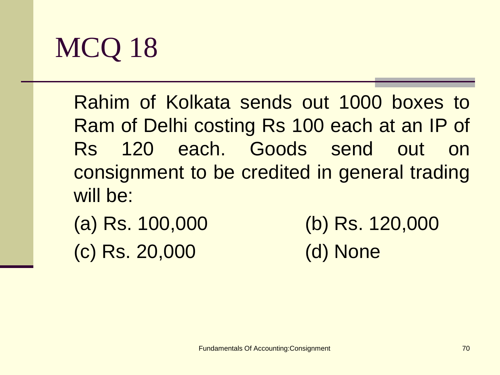Rahim of Kolkata sends out 1000 boxes to Ram of Delhi costing Rs 100 each at an IP of Rs 120 each. Goods send out on consignment to be credited in general trading will be:

(a) Rs. 100,000 (b) Rs. 120,000 (c) Rs. 20,000 (d) None